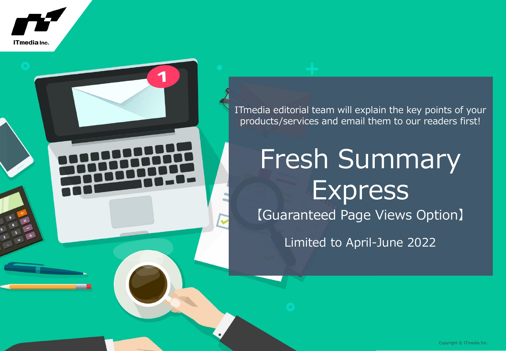



ITmedia editorial team will explain the key points of your products/services and email them to our readers first!

# Fresh Summary Express 【Guaranteed Page Views Option】

Limited to April-June 2022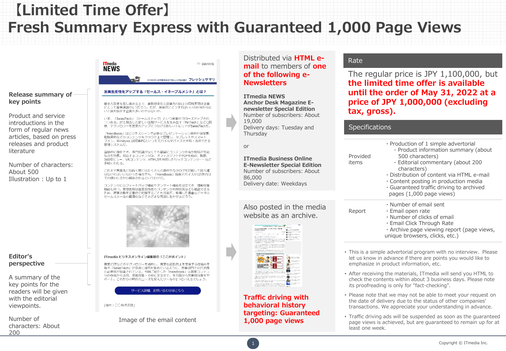### **【Limited Time Offer】 Fresh Summary Express with Guaranteed 1,000 Page Views**



200

#### Distributed via **HTML email** to members of **one of the following e-Newsletters**

**ITmedia NEWS Anchor Desk Magazine Enewsletter Special Edition** Number of subscribers: About 19,000 Delivery days: Tuesday and Thursday

or

**ITmedia Business Online E-Newsletter Special Edition** Number of subscribers: About 86,000 Delivery date: Weekdays

Also posted in the media website as an archive.



**Traffic driving with behavioral history targeting: Guaranteed 1,000 page views**

#### Rate

The regular price is JPY 1,100,000, but **the limited time offer is available until the order of May 31, 2022 at a price of JPY 1,000,000 (excluding tax, gross).**

#### **Specifications**

| Provided<br>items | · Production of 1 simple advertorial<br>- Product information summary (about<br>500 characters)<br>- Editorial commentary (about 200<br>characters)<br>• Distribution of content via HTML e-mail<br>Content posting in production media<br>· Guaranteed traffic driving to archived<br>pages (1,000 page views) |
|-------------------|-----------------------------------------------------------------------------------------------------------------------------------------------------------------------------------------------------------------------------------------------------------------------------------------------------------------|
| Report            | . Number of email sent<br>· Email open rate<br>. Number of clicks of email<br>• Email Click Through Rate<br>· Archive page viewing report (page views,<br>unique browsers, clicks, etc.)                                                                                                                        |

- This is a simple advertorial program with no interview. Please let us know in advance if there are points you would like to emphasize in product information, etc.
- After receiving the materials, ITmedia will send you HTML to check the contents within about 3 business days. Please note its proofreading is only for "fact-checking".
- Please note that we may not be able to meet your request on the date of delivery due to the status of other companies' transactions. We appreciate your understanding in advance.
- Traffic driving ads will be suspended as soon as the guaranteed page views is achieved, but are guaranteed to remain up for at least one week.

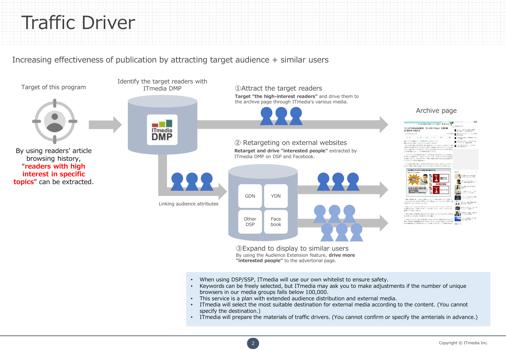### Traffic Driver

Increasing effectiveness of publication by attracting target audience + similar users



By using the Audience Extension feature, **drive more "interested people"** to the advertorial page.

- When using DSP/SSP, ITmedia will use our own whitelist to ensure safety.
- Keywords can be freely selected, but ITmedia may ask you to make adjustments if the number of unique browsers in our media groups falls below 100,000.
- This service is a plan with extended audience distribution and external media.
- ITmedia will select the most suitable destination for external media according to the content. (You cannot specify the destination.)
- ITmedia will prepare the materials of traffic drivers. (You cannot confirm or specify the amterials in advance.)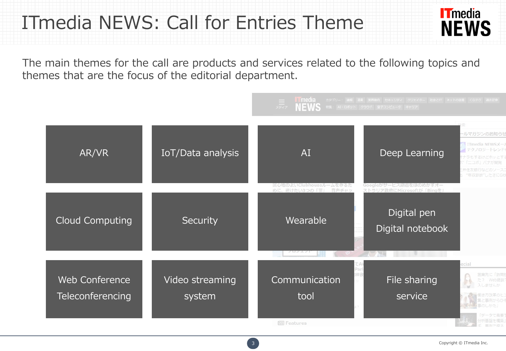### ITmedia NEWS: Call for Entries Theme



The main themes for the call are products and services related to the following topics and themes that are the focus of the editorial department.

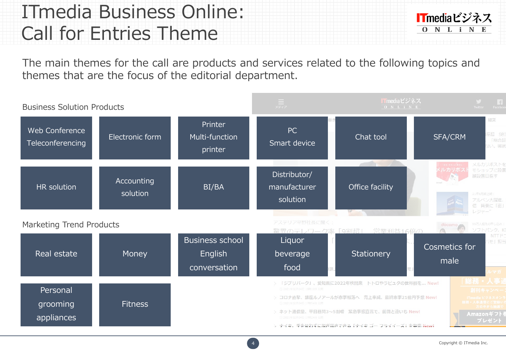### ITmedia Business Online: Call for Entries Theme

ONLINE

The main themes for the call are products and services related to the following topics and themes that are the focus of the editorial department.

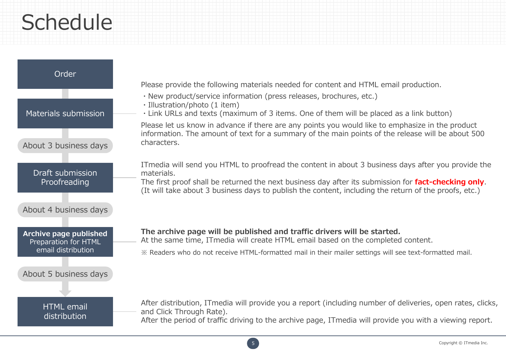## **Schedule**



Please provide the following materials needed for content and HTML email production.

- ・New product/service information (press releases, brochures, etc.)
- ・Illustration/photo (1 item)
- ・Link URLs and texts (maximum of 3 items. One of them will be placed as a link button)

Please let us know in advance if there are any points you would like to emphasize in the product information. The amount of text for a summary of the main points of the release will be about 500 characters.

ITmedia will send you HTML to proofread the content in about 3 business days after you provide the materials.

The first proof shall be returned the next business day after its submission for **fact-checking only**. (It will take about 3 business days to publish the content, including the return of the proofs, etc.)

**The archive page will be published and traffic drivers will be started.** At the same time, ITmedia will create HTML email based on the completed content.

※ Readers who do not receive HTML-formatted mail in their mailer settings will see text-formatted mail.

After distribution, ITmedia will provide you a report (including number of deliveries, open rates, clicks, and Click Through Rate). After the period of traffic driving to the archive page, ITmedia will provide you with a viewing report.

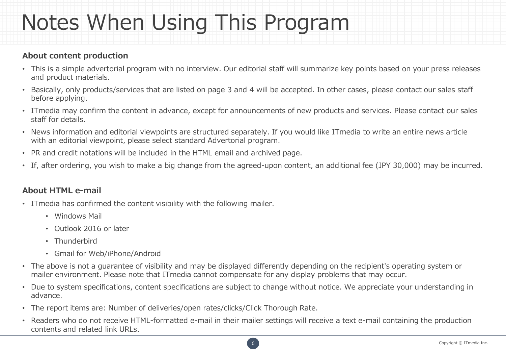## Notes When Using This Program

#### **About content production**

- This is a simple advertorial program with no interview. Our editorial staff will summarize key points based on your press releases and product materials.
- Basically, only products/services that are listed on page 3 and 4 will be accepted. In other cases, please contact our sales staff before applying.
- ITmedia may confirm the content in advance, except for announcements of new products and services. Please contact our sales staff for details.
- News information and editorial viewpoints are structured separately. If you would like ITmedia to write an entire news article with an editorial viewpoint, please select standard Advertorial program.
- PR and credit notations will be included in the HTML email and archived page.
- If, after ordering, you wish to make a big change from the agreed-upon content, an additional fee (JPY 30,000) may be incurred.

### **About HTML e-mail**

- ITmedia has confirmed the content visibility with the following mailer.
	- Windows Mail
	- Outlook 2016 or later
	- Thunderbird
	- Gmail for Web/iPhone/Android
- The above is not a guarantee of visibility and may be displayed differently depending on the recipient's operating system or mailer environment. Please note that ITmedia cannot compensate for any display problems that may occur.
- Due to system specifications, content specifications are subject to change without notice. We appreciate your understanding in advance.
- The report items are: Number of deliveries/open rates/clicks/Click Thorough Rate.
- Readers who do not receive HTML-formatted e-mail in their mailer settings will receive a text e-mail containing the production contents and related link URLs.